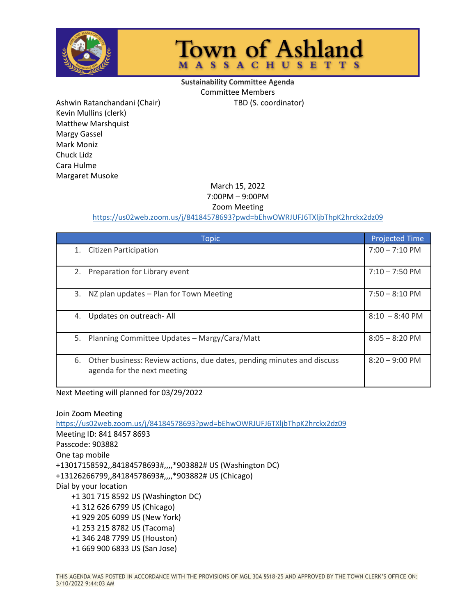

## **Town of Ashland MASSACHUSETTS**

**Sustainability Committee Agenda** Committee Members

Ashwin Ratanchandani (Chair) TBD (S. coordinator) Kevin Mullins (clerk) Matthew Marshquist Margy Gassel Mark Moniz Chuck Lidz Cara Hulme Margaret Musoke

## March 15, 2022

7:00PM – 9:00PM

Zoom Meeting

## <https://us02web.zoom.us/j/84184578693?pwd=bEhwOWRJUFJ6TXljbThpK2hrckx2dz09>

| <b>Topic</b>                                                                                                | <b>Projected Time</b>    |
|-------------------------------------------------------------------------------------------------------------|--------------------------|
| <b>Citizen Participation</b><br>1.                                                                          | $7:00 - 7:10 \text{ PM}$ |
| Preparation for Library event<br>2.                                                                         | $7:10 - 7:50 \text{ PM}$ |
| 3.<br>NZ plan updates - Plan for Town Meeting                                                               | $7:50 - 8:10 \text{ PM}$ |
| Updates on outreach-All<br>4.                                                                               | $8:10 - 8:40 \text{ PM}$ |
| 5. Planning Committee Updates - Margy/Cara/Matt                                                             | $8:05 - 8:20$ PM         |
| Other business: Review actions, due dates, pending minutes and discuss<br>6.<br>agenda for the next meeting | $8:20 - 9:00 \text{ PM}$ |

Next Meeting will planned for 03/29/2022

Join Zoom Meeting <https://us02web.zoom.us/j/84184578693?pwd=bEhwOWRJUFJ6TXljbThpK2hrckx2dz09> Meeting ID: 841 8457 8693 Passcode: 903882 One tap mobile +13017158592,,84184578693#,,,,\*903882# US (Washington DC) +13126266799,,84184578693#,,,,\*903882# US (Chicago) Dial by your location +1 301 715 8592 US (Washington DC) +1 312 626 6799 US (Chicago) +1 929 205 6099 US (New York) +1 253 215 8782 US (Tacoma) +1 346 248 7799 US (Houston) +1 669 900 6833 US (San Jose)